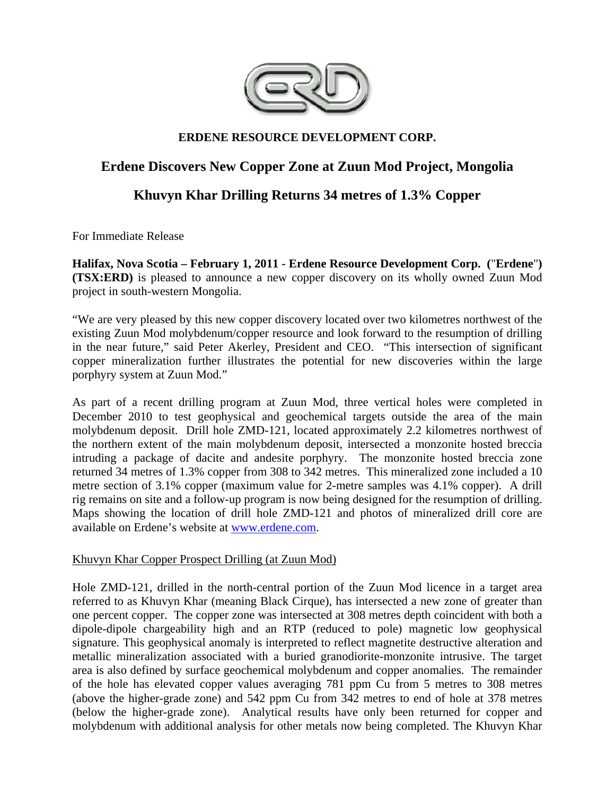

## **ERDENE RESOURCE DEVELOPMENT CORP.**

# **Erdene Discovers New Copper Zone at Zuun Mod Project, Mongolia**

# **Khuvyn Khar Drilling Returns 34 metres of 1.3% Copper**

For Immediate Release

**Halifax, Nova Scotia – February 1, 2011 - Erdene Resource Development Corp. (**"**Erdene**"**) (TSX:ERD)** is pleased to announce a new copper discovery on its wholly owned Zuun Mod project in south-western Mongolia.

"We are very pleased by this new copper discovery located over two kilometres northwest of the existing Zuun Mod molybdenum/copper resource and look forward to the resumption of drilling in the near future," said Peter Akerley, President and CEO. "This intersection of significant copper mineralization further illustrates the potential for new discoveries within the large porphyry system at Zuun Mod."

As part of a recent drilling program at Zuun Mod, three vertical holes were completed in December 2010 to test geophysical and geochemical targets outside the area of the main molybdenum deposit. Drill hole ZMD-121, located approximately 2.2 kilometres northwest of the northern extent of the main molybdenum deposit, intersected a monzonite hosted breccia intruding a package of dacite and andesite porphyry. The monzonite hosted breccia zone returned 34 metres of 1.3% copper from 308 to 342 metres. This mineralized zone included a 10 metre section of 3.1% copper (maximum value for 2-metre samples was 4.1% copper). A drill rig remains on site and a follow-up program is now being designed for the resumption of drilling. Maps showing the location of drill hole ZMD-121 and photos of mineralized drill core are available on Erdene's website at www.erdene.com.

#### Khuvyn Khar Copper Prospect Drilling (at Zuun Mod)

Hole ZMD-121, drilled in the north-central portion of the Zuun Mod licence in a target area referred to as Khuvyn Khar (meaning Black Cirque), has intersected a new zone of greater than one percent copper. The copper zone was intersected at 308 metres depth coincident with both a dipole-dipole chargeability high and an RTP (reduced to pole) magnetic low geophysical signature. This geophysical anomaly is interpreted to reflect magnetite destructive alteration and metallic mineralization associated with a buried granodiorite-monzonite intrusive. The target area is also defined by surface geochemical molybdenum and copper anomalies. The remainder of the hole has elevated copper values averaging 781 ppm Cu from 5 metres to 308 metres (above the higher-grade zone) and 542 ppm Cu from 342 metres to end of hole at 378 metres (below the higher-grade zone). Analytical results have only been returned for copper and molybdenum with additional analysis for other metals now being completed. The Khuvyn Khar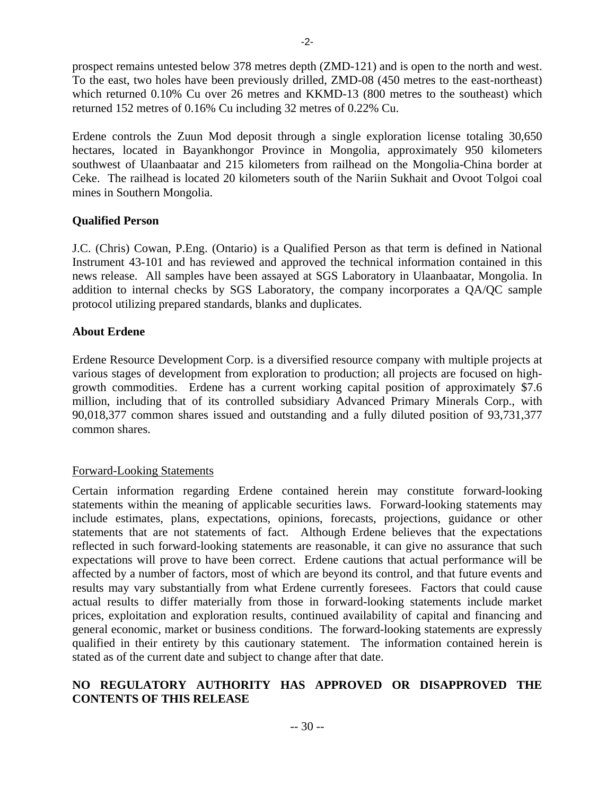prospect remains untested below 378 metres depth (ZMD-121) and is open to the north and west. To the east, two holes have been previously drilled, ZMD-08 (450 metres to the east-northeast) which returned 0.10% Cu over 26 metres and KKMD-13 (800 metres to the southeast) which returned 152 metres of 0.16% Cu including 32 metres of 0.22% Cu.

Erdene controls the Zuun Mod deposit through a single exploration license totaling 30,650 hectares, located in Bayankhongor Province in Mongolia, approximately 950 kilometers southwest of Ulaanbaatar and 215 kilometers from railhead on the Mongolia-China border at Ceke. The railhead is located 20 kilometers south of the Nariin Sukhait and Ovoot Tolgoi coal mines in Southern Mongolia.

#### **Qualified Person**

J.C. (Chris) Cowan, P.Eng. (Ontario) is a Qualified Person as that term is defined in National Instrument 43-101 and has reviewed and approved the technical information contained in this news release. All samples have been assayed at SGS Laboratory in Ulaanbaatar, Mongolia. In addition to internal checks by SGS Laboratory, the company incorporates a QA/QC sample protocol utilizing prepared standards, blanks and duplicates.

#### **About Erdene**

Erdene Resource Development Corp. is a diversified resource company with multiple projects at various stages of development from exploration to production; all projects are focused on highgrowth commodities. Erdene has a current working capital position of approximately \$7.6 million, including that of its controlled subsidiary Advanced Primary Minerals Corp., with 90,018,377 common shares issued and outstanding and a fully diluted position of 93,731,377 common shares.

#### Forward-Looking Statements

Certain information regarding Erdene contained herein may constitute forward-looking statements within the meaning of applicable securities laws. Forward-looking statements may include estimates, plans, expectations, opinions, forecasts, projections, guidance or other statements that are not statements of fact. Although Erdene believes that the expectations reflected in such forward-looking statements are reasonable, it can give no assurance that such expectations will prove to have been correct. Erdene cautions that actual performance will be affected by a number of factors, most of which are beyond its control, and that future events and results may vary substantially from what Erdene currently foresees. Factors that could cause actual results to differ materially from those in forward-looking statements include market prices, exploitation and exploration results, continued availability of capital and financing and general economic, market or business conditions. The forward-looking statements are expressly qualified in their entirety by this cautionary statement. The information contained herein is stated as of the current date and subject to change after that date.

### **NO REGULATORY AUTHORITY HAS APPROVED OR DISAPPROVED THE CONTENTS OF THIS RELEASE**